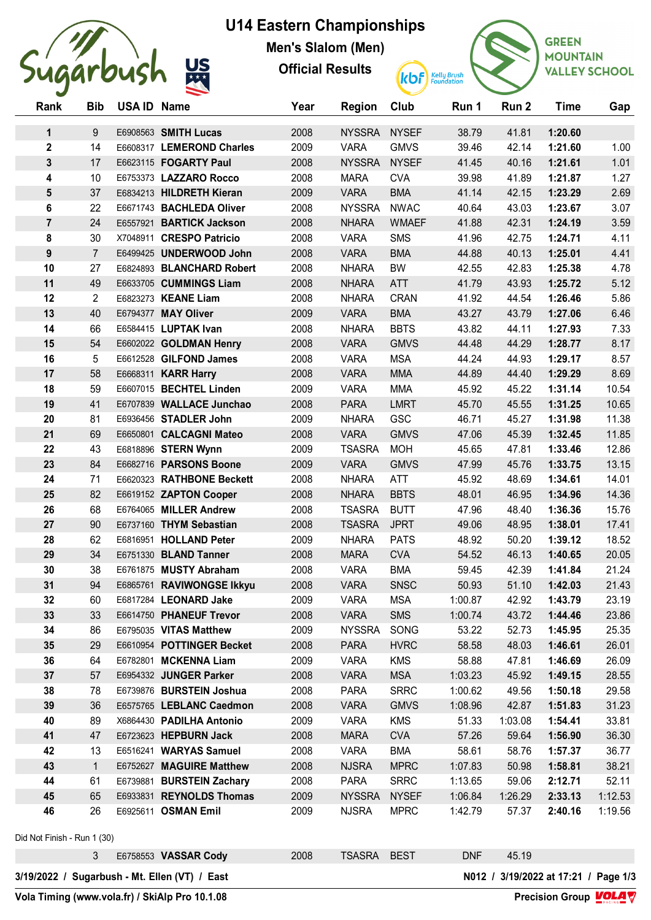

## **U14 Eastern Championships**

**Men's Slalom (Men)**

**Official Results**



**GREEN MOUNTAIN VALLEY SCHOOL** 

| Rank                                                                                  | <b>Bib</b>                  | <b>USA ID Name</b> |                           | Year | <b>Region</b> | Club         | Run 1      | Run 2   | <b>Time</b> | Gap     |
|---------------------------------------------------------------------------------------|-----------------------------|--------------------|---------------------------|------|---------------|--------------|------------|---------|-------------|---------|
| $\mathbf{1}$                                                                          | 9                           |                    | E6908563 SMITH Lucas      | 2008 | <b>NYSSRA</b> | <b>NYSEF</b> | 38.79      | 41.81   | 1:20.60     |         |
| $\mathbf 2$                                                                           | 14                          |                    | E6608317 LEMEROND Charles | 2009 | <b>VARA</b>   | <b>GMVS</b>  | 39.46      | 42.14   | 1:21.60     | 1.00    |
| $\mathbf{3}$                                                                          | 17                          |                    | E6623115 FOGARTY Paul     | 2008 | <b>NYSSRA</b> | <b>NYSEF</b> | 41.45      | 40.16   | 1:21.61     | 1.01    |
| 4                                                                                     | 10                          |                    | E6753373 LAZZARO Rocco    | 2008 | <b>MARA</b>   | <b>CVA</b>   | 39.98      | 41.89   | 1:21.87     | 1.27    |
| 5                                                                                     | 37                          |                    | E6834213 HILDRETH Kieran  | 2009 | <b>VARA</b>   | <b>BMA</b>   | 41.14      | 42.15   | 1:23.29     | 2.69    |
| 6                                                                                     | 22                          |                    | E6671743 BACHLEDA Oliver  | 2008 | <b>NYSSRA</b> | <b>NWAC</b>  | 40.64      | 43.03   | 1:23.67     | 3.07    |
| $\overline{7}$                                                                        | 24                          |                    | E6557921 BARTICK Jackson  | 2008 | <b>NHARA</b>  | <b>WMAEF</b> | 41.88      | 42.31   | 1:24.19     | 3.59    |
| 8                                                                                     | 30                          |                    | X7048911 CRESPO Patricio  | 2008 | <b>VARA</b>   | <b>SMS</b>   | 41.96      | 42.75   | 1:24.71     | 4.11    |
| 9                                                                                     | $\overline{7}$              |                    | E6499425 UNDERWOOD John   | 2008 | <b>VARA</b>   | <b>BMA</b>   | 44.88      | 40.13   | 1:25.01     | 4.41    |
| 10                                                                                    | 27                          |                    | E6824893 BLANCHARD Robert | 2008 | <b>NHARA</b>  | <b>BW</b>    | 42.55      | 42.83   | 1:25.38     | 4.78    |
| 11                                                                                    | 49                          |                    | E6633705 CUMMINGS Liam    | 2008 | <b>NHARA</b>  | <b>ATT</b>   | 41.79      | 43.93   | 1:25.72     | 5.12    |
| 12                                                                                    | 2                           |                    | E6823273 KEANE Liam       | 2008 | <b>NHARA</b>  | <b>CRAN</b>  | 41.92      | 44.54   | 1:26.46     | 5.86    |
| 13                                                                                    | 40                          |                    | E6794377 MAY Oliver       | 2009 | <b>VARA</b>   | <b>BMA</b>   | 43.27      | 43.79   | 1:27.06     | 6.46    |
| 14                                                                                    | 66                          |                    | E6584415 LUPTAK Ivan      | 2008 | <b>NHARA</b>  | <b>BBTS</b>  | 43.82      | 44.11   | 1:27.93     | 7.33    |
| 15                                                                                    | 54                          |                    | E6602022 GOLDMAN Henry    | 2008 | <b>VARA</b>   | <b>GMVS</b>  | 44.48      | 44.29   | 1:28.77     | 8.17    |
| 16                                                                                    | 5                           |                    | E6612528 GILFOND James    | 2008 | <b>VARA</b>   | <b>MSA</b>   | 44.24      | 44.93   | 1:29.17     | 8.57    |
| 17                                                                                    | 58                          |                    | E6668311 KARR Harry       | 2008 | <b>VARA</b>   | <b>MMA</b>   | 44.89      | 44.40   | 1:29.29     | 8.69    |
| 18                                                                                    | 59                          |                    | E6607015 BECHTEL Linden   | 2009 | <b>VARA</b>   | <b>MMA</b>   | 45.92      | 45.22   | 1:31.14     | 10.54   |
| 19                                                                                    | 41                          |                    | E6707839 WALLACE Junchao  | 2008 | <b>PARA</b>   | <b>LMRT</b>  | 45.70      | 45.55   | 1:31.25     | 10.65   |
| 20                                                                                    | 81                          |                    | E6936456 STADLER John     | 2009 | <b>NHARA</b>  | GSC          | 46.71      | 45.27   | 1:31.98     | 11.38   |
| 21                                                                                    | 69                          |                    | E6650801 CALCAGNI Mateo   | 2008 | <b>VARA</b>   | <b>GMVS</b>  | 47.06      | 45.39   | 1:32.45     | 11.85   |
| 22                                                                                    | 43                          |                    | E6818896 STERN Wynn       | 2009 | <b>TSASRA</b> | <b>MOH</b>   | 45.65      | 47.81   | 1:33.46     | 12.86   |
| 23                                                                                    | 84                          |                    | E6682716 PARSONS Boone    | 2009 | <b>VARA</b>   | <b>GMVS</b>  | 47.99      | 45.76   | 1:33.75     | 13.15   |
| 24                                                                                    | 71                          |                    | E6620323 RATHBONE Beckett | 2008 | <b>NHARA</b>  | <b>ATT</b>   | 45.92      | 48.69   | 1:34.61     | 14.01   |
| 25                                                                                    | 82                          |                    | E6619152 ZAPTON Cooper    | 2008 | <b>NHARA</b>  | <b>BBTS</b>  | 48.01      | 46.95   | 1:34.96     | 14.36   |
| 26                                                                                    | 68                          |                    | E6764065 MILLER Andrew    | 2008 | <b>TSASRA</b> | <b>BUTT</b>  | 47.96      | 48.40   | 1:36.36     | 15.76   |
| 27                                                                                    | 90                          |                    | E6737160 THYM Sebastian   | 2008 | <b>TSASRA</b> | <b>JPRT</b>  | 49.06      | 48.95   | 1:38.01     | 17.41   |
| 28                                                                                    | 62                          |                    | E6816951 HOLLAND Peter    | 2009 | <b>NHARA</b>  | <b>PATS</b>  | 48.92      | 50.20   | 1:39.12     | 18.52   |
| 29                                                                                    | 34                          |                    | E6751330 BLAND Tanner     | 2008 | <b>MARA</b>   | <b>CVA</b>   | 54.52      | 46.13   | 1:40.65     | 20.05   |
| 30                                                                                    | 38                          |                    | E6761875 MUSTY Abraham    | 2008 | <b>VARA</b>   | <b>BMA</b>   | 59.45      | 42.39   | 1:41.84     | 21.24   |
| 31                                                                                    | 94                          |                    | E6865761 RAVIWONGSE Ikkyu | 2008 | <b>VARA</b>   | <b>SNSC</b>  | 50.93      | 51.10   | 1:42.03     | 21.43   |
| 32                                                                                    | 60                          |                    | E6817284 LEONARD Jake     | 2009 | <b>VARA</b>   | <b>MSA</b>   | 1:00.87    | 42.92   | 1:43.79     | 23.19   |
| 33                                                                                    | 33                          |                    | E6614750 PHANEUF Trevor   | 2008 | <b>VARA</b>   | <b>SMS</b>   | 1:00.74    | 43.72   | 1:44.46     | 23.86   |
| 34                                                                                    | 86                          |                    | E6795035 VITAS Matthew    | 2009 | <b>NYSSRA</b> | SONG         | 53.22      | 52.73   | 1:45.95     | 25.35   |
| 35                                                                                    | 29                          |                    | E6610954 POTTINGER Becket | 2008 | <b>PARA</b>   | <b>HVRC</b>  | 58.58      | 48.03   | 1:46.61     | 26.01   |
| 36                                                                                    | 64                          |                    | E6782801 MCKENNA Liam     | 2009 | <b>VARA</b>   | <b>KMS</b>   | 58.88      | 47.81   | 1:46.69     | 26.09   |
| 37                                                                                    | 57                          |                    | E6954332 JUNGER Parker    | 2008 | <b>VARA</b>   | <b>MSA</b>   | 1:03.23    | 45.92   | 1:49.15     | 28.55   |
| 38                                                                                    | 78                          |                    | E6739876 BURSTEIN Joshua  | 2008 | <b>PARA</b>   | <b>SRRC</b>  | 1:00.62    | 49.56   | 1:50.18     | 29.58   |
| 39                                                                                    | 36                          |                    | E6575765 LEBLANC Caedmon  | 2008 | <b>VARA</b>   | <b>GMVS</b>  | 1:08.96    | 42.87   | 1:51.83     | 31.23   |
| 40                                                                                    | 89                          |                    | X6864430 PADILHA Antonio  | 2009 | <b>VARA</b>   | <b>KMS</b>   | 51.33      | 1:03.08 | 1:54.41     | 33.81   |
| 41                                                                                    | 47                          |                    | E6723623 HEPBURN Jack     | 2008 | <b>MARA</b>   | <b>CVA</b>   | 57.26      | 59.64   | 1:56.90     | 36.30   |
| 42                                                                                    | 13                          |                    | E6516241 WARYAS Samuel    | 2008 | <b>VARA</b>   | <b>BMA</b>   | 58.61      | 58.76   | 1:57.37     | 36.77   |
| 43                                                                                    | $\mathbf{1}$                |                    | E6752627 MAGUIRE Matthew  | 2008 | <b>NJSRA</b>  | <b>MPRC</b>  | 1:07.83    | 50.98   | 1:58.81     | 38.21   |
| 44                                                                                    | 61                          |                    | E6739881 BURSTEIN Zachary | 2008 | <b>PARA</b>   | <b>SRRC</b>  | 1:13.65    | 59.06   | 2:12.71     | 52.11   |
| 45                                                                                    | 65                          |                    | E6933831 REYNOLDS Thomas  | 2009 | <b>NYSSRA</b> | <b>NYSEF</b> | 1:06.84    | 1:26.29 | 2:33.13     | 1:12.53 |
| 46                                                                                    | 26                          |                    | E6925611 OSMAN Emil       | 2009 | <b>NJSRA</b>  | <b>MPRC</b>  | 1:42.79    | 57.37   | 2:40.16     | 1:19.56 |
|                                                                                       | Did Not Finish - Run 1 (30) |                    |                           |      |               |              |            |         |             |         |
|                                                                                       | 3                           |                    | E6758553 VASSAR Cody      | 2008 | <b>TSASRA</b> | <b>BEST</b>  | <b>DNF</b> | 45.19   |             |         |
| 3/19/2022 / Sugarbush - Mt. Ellen (VT) / East<br>N012 / 3/19/2022 at 17:21 / Page 1/3 |                             |                    |                           |      |               |              |            |         |             |         |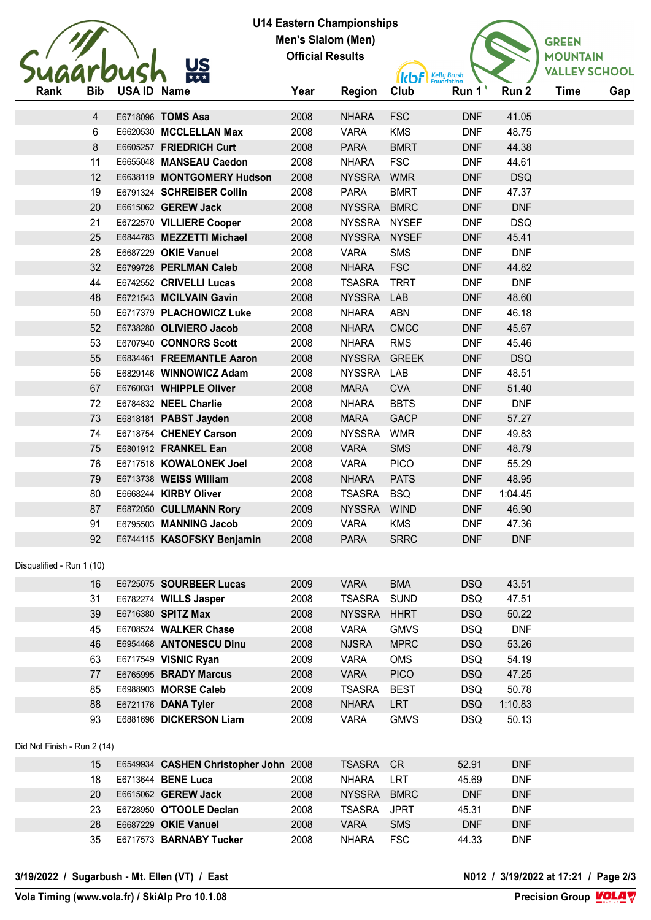

## **U14 Eastern Championships Men's Slalom (Men) Official Results**



| Rank                        | <b>Bib</b>      | USA ID Name |                                       | Year | <b>Region</b> | <b>IN WE Equadation</b><br>Club | Run 1      | Run 2      | <b>Time</b> | Gap |
|-----------------------------|-----------------|-------------|---------------------------------------|------|---------------|---------------------------------|------------|------------|-------------|-----|
|                             |                 |             |                                       |      |               |                                 |            |            |             |     |
|                             | 4               |             | E6718096 TOMS Asa                     | 2008 | <b>NHARA</b>  | <b>FSC</b>                      | <b>DNF</b> | 41.05      |             |     |
|                             | $6\phantom{.}6$ |             | E6620530 MCCLELLAN Max                | 2008 | <b>VARA</b>   | <b>KMS</b>                      | <b>DNF</b> | 48.75      |             |     |
|                             | 8               |             | E6605257 FRIEDRICH Curt               | 2008 | <b>PARA</b>   | <b>BMRT</b>                     | <b>DNF</b> | 44.38      |             |     |
|                             | 11              |             | E6655048 MANSEAU Caedon               | 2008 | <b>NHARA</b>  | <b>FSC</b>                      | <b>DNF</b> | 44.61      |             |     |
|                             | 12              |             | E6638119 MONTGOMERY Hudson            | 2008 | <b>NYSSRA</b> | <b>WMR</b>                      | <b>DNF</b> | <b>DSQ</b> |             |     |
|                             | 19              |             | E6791324 SCHREIBER Collin             | 2008 | <b>PARA</b>   | <b>BMRT</b>                     | <b>DNF</b> | 47.37      |             |     |
|                             | 20              |             | E6615062 GEREW Jack                   | 2008 | <b>NYSSRA</b> | <b>BMRC</b>                     | <b>DNF</b> | <b>DNF</b> |             |     |
|                             | 21              |             | E6722570 VILLIERE Cooper              | 2008 | NYSSRA NYSEF  |                                 | <b>DNF</b> | <b>DSQ</b> |             |     |
|                             | 25              |             | E6844783 MEZZETTI Michael             | 2008 | NYSSRA NYSEF  |                                 | <b>DNF</b> | 45.41      |             |     |
|                             | 28              |             | E6687229 OKIE Vanuel                  | 2008 | <b>VARA</b>   | <b>SMS</b>                      | <b>DNF</b> | <b>DNF</b> |             |     |
|                             | 32              |             | E6799728 PERLMAN Caleb                | 2008 | <b>NHARA</b>  | <b>FSC</b>                      | <b>DNF</b> | 44.82      |             |     |
|                             | 44              |             | E6742552 CRIVELLI Lucas               | 2008 | <b>TSASRA</b> | <b>TRRT</b>                     | <b>DNF</b> | <b>DNF</b> |             |     |
|                             | 48              |             | E6721543 MCILVAIN Gavin               | 2008 | <b>NYSSRA</b> | LAB                             | <b>DNF</b> | 48.60      |             |     |
|                             | 50              |             | E6717379 PLACHOWICZ Luke              | 2008 | <b>NHARA</b>  | <b>ABN</b>                      | <b>DNF</b> | 46.18      |             |     |
|                             | 52              |             | E6738280 OLIVIERO Jacob               | 2008 | <b>NHARA</b>  | <b>CMCC</b>                     | <b>DNF</b> | 45.67      |             |     |
|                             | 53              |             | E6707940 CONNORS Scott                | 2008 | <b>NHARA</b>  | <b>RMS</b>                      | <b>DNF</b> | 45.46      |             |     |
|                             | 55              |             | E6834461 FREEMANTLE Aaron             | 2008 | <b>NYSSRA</b> | <b>GREEK</b>                    | <b>DNF</b> | <b>DSQ</b> |             |     |
|                             | 56              |             | E6829146 WINNOWICZ Adam               | 2008 | <b>NYSSRA</b> | LAB                             | <b>DNF</b> | 48.51      |             |     |
|                             | 67              |             | E6760031 WHIPPLE Oliver               | 2008 | <b>MARA</b>   | <b>CVA</b>                      | <b>DNF</b> | 51.40      |             |     |
|                             | 72              |             | E6784832 NEEL Charlie                 | 2008 | <b>NHARA</b>  | <b>BBTS</b>                     | <b>DNF</b> | <b>DNF</b> |             |     |
|                             | 73              |             | E6818181 PABST Jayden                 | 2008 | <b>MARA</b>   | <b>GACP</b>                     | <b>DNF</b> | 57.27      |             |     |
|                             | 74              |             | E6718754 CHENEY Carson                | 2009 | <b>NYSSRA</b> | <b>WMR</b>                      | <b>DNF</b> | 49.83      |             |     |
|                             | 75              |             | E6801912 FRANKEL Ean                  | 2008 | <b>VARA</b>   | <b>SMS</b>                      | <b>DNF</b> | 48.79      |             |     |
|                             | 76              |             | E6717518 KOWALONEK Joel               | 2008 | <b>VARA</b>   | <b>PICO</b>                     | <b>DNF</b> | 55.29      |             |     |
|                             | 79              |             | E6713738 WEISS William                | 2008 | <b>NHARA</b>  | <b>PATS</b>                     | <b>DNF</b> | 48.95      |             |     |
|                             | 80              |             | E6668244 KIRBY Oliver                 | 2008 | <b>TSASRA</b> | <b>BSQ</b>                      | <b>DNF</b> | 1:04.45    |             |     |
|                             | 87              |             | E6872050 CULLMANN Rory                | 2009 | <b>NYSSRA</b> | <b>WIND</b>                     | <b>DNF</b> | 46.90      |             |     |
|                             | 91              |             | E6795503 MANNING Jacob                | 2009 | <b>VARA</b>   | <b>KMS</b>                      | <b>DNF</b> | 47.36      |             |     |
|                             | 92              |             | E6744115 KASOFSKY Benjamin            | 2008 | <b>PARA</b>   | <b>SRRC</b>                     | <b>DNF</b> | <b>DNF</b> |             |     |
| Disqualified - Run 1 (10)   |                 |             |                                       |      |               |                                 |            |            |             |     |
|                             | 16              |             | E6725075 SOURBEER Lucas               | 2009 | <b>VARA</b>   | <b>BMA</b>                      | <b>DSQ</b> | 43.51      |             |     |
|                             | 31              |             | E6782274 WILLS Jasper                 | 2008 | <b>TSASRA</b> | <b>SUND</b>                     | <b>DSQ</b> | 47.51      |             |     |
|                             | 39              |             | E6716380 SPITZ Max                    | 2008 | <b>NYSSRA</b> | <b>HHRT</b>                     | <b>DSQ</b> | 50.22      |             |     |
|                             | 45              |             | E6708524 WALKER Chase                 | 2008 | <b>VARA</b>   | <b>GMVS</b>                     | <b>DSQ</b> | <b>DNF</b> |             |     |
|                             | 46              |             | E6954468 ANTONESCU Dinu               | 2008 | <b>NJSRA</b>  | <b>MPRC</b>                     | <b>DSQ</b> | 53.26      |             |     |
|                             | 63              |             | E6717549 VISNIC Ryan                  | 2009 | VARA          | OMS                             | <b>DSQ</b> | 54.19      |             |     |
|                             | 77              |             | E6765995 BRADY Marcus                 | 2008 | <b>VARA</b>   | <b>PICO</b>                     | <b>DSQ</b> | 47.25      |             |     |
|                             | 85              |             | E6988903 MORSE Caleb                  | 2009 | <b>TSASRA</b> | <b>BEST</b>                     | <b>DSQ</b> | 50.78      |             |     |
|                             | 88              |             | E6721176 DANA Tyler                   | 2008 | <b>NHARA</b>  | <b>LRT</b>                      | <b>DSQ</b> | 1:10.83    |             |     |
|                             | 93              |             | E6881696 DICKERSON Liam               | 2009 | <b>VARA</b>   | <b>GMVS</b>                     | <b>DSQ</b> |            |             |     |
|                             |                 |             |                                       |      |               |                                 |            | 50.13      |             |     |
| Did Not Finish - Run 2 (14) |                 |             |                                       |      |               |                                 |            |            |             |     |
|                             | 15              |             | E6549934 CASHEN Christopher John 2008 |      | <b>TSASRA</b> | <b>CR</b>                       | 52.91      | <b>DNF</b> |             |     |
|                             | 18              |             | E6713644 BENE Luca                    | 2008 | <b>NHARA</b>  | LRT                             | 45.69      | <b>DNF</b> |             |     |
|                             | 20              |             | E6615062 GEREW Jack                   | 2008 | <b>NYSSRA</b> | <b>BMRC</b>                     | <b>DNF</b> | <b>DNF</b> |             |     |
|                             | 23              |             | E6728950 O'TOOLE Declan               | 2008 | <b>TSASRA</b> | <b>JPRT</b>                     | 45.31      | <b>DNF</b> |             |     |
|                             | 28              |             | E6687229 OKIE Vanuel                  | 2008 | <b>VARA</b>   | SMS                             | <b>DNF</b> | <b>DNF</b> |             |     |

E6717573 **BARNABY Tucker** 2008 NHARA FSC 44.33 DNF

**3/19/2022 / Sugarbush - Mt. Ellen (VT) / East N012 / 3/19/2022 at 17:21 / Page 2/3**